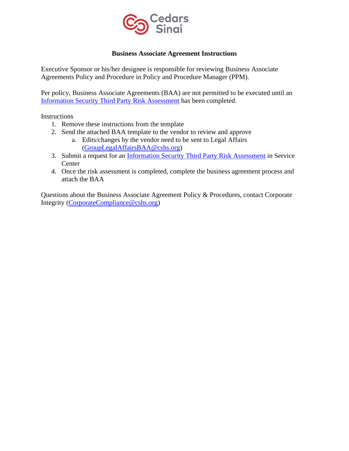

### **Business Associate Agreement Instructions**

Executive Sponsor or his/her designee is responsible for reviewing Business Associate Agreements Policy and Procedure in Policy and Procedure Manager (PPM).

Per policy, Business Associate Agreements (BAA) are not permitted to be executed until an [Information Security Third Party Risk Assessment](https://csmc.service-now.com/cssp?id=sc_cat_item&sys_id=96748753db6740501691f5361d96192c) has been completed.

Instructions

- 1. Remove these instructions from the template
- 2. Send the attached BAA template to the vendor to review and approve
	- a. Edits/changes by the vendor need to be sent to Legal Affairs [\(GroupLegalAffairsBAA@cshs.org\)](mailto:GroupLegalAffairsBAA@cshs.org)
- 3. Submit a request for an [Information Security Third Party Risk Assessment](https://csmc.service-now.com/cssp?id=sc_cat_item&sys_id=96748753db6740501691f5361d96192c) in Service **Center**
- 4. Once the risk assessment is completed, complete the business agreement process and attach the BAA

Questions about the Business Associate Agreement Policy & Procedures, contact Corporate Integrity [\(CorporateCompliance@cshs.org\)](mailto:CorporateCompliance@cshs.org)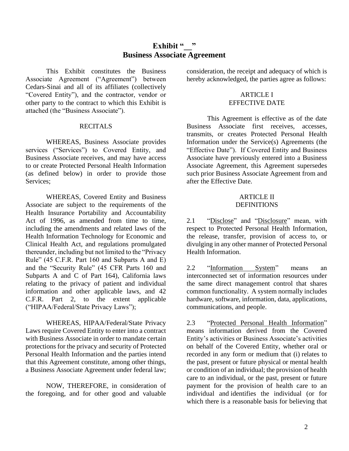# **Exhibit " Business Associate Agreement**

This Exhibit constitutes the Business Associate Agreement ("Agreement") between Cedars-Sinai and all of its affiliates (collectively "Covered Entity"), and the contractor, vendor or other party to the contract to which this Exhibit is attached (the "Business Associate").

#### RECITALS

WHEREAS, Business Associate provides services ("Services") to Covered Entity, and Business Associate receives, and may have access to or create Protected Personal Health Information (as defined below) in order to provide those Services;

WHEREAS, Covered Entity and Business Associate are subject to the requirements of the Health Insurance Portability and Accountability Act of 1996, as amended from time to time, including the amendments and related laws of the Health Information Technology for Economic and Clinical Health Act, and regulations promulgated thereunder, including but not limited to the "Privacy Rule" (45 C.F.R. Part 160 and Subparts A and E) and the "Security Rule" (45 CFR Parts 160 and Subparts A and C of Part 164), California laws relating to the privacy of patient and individual information and other applicable laws, and 42 C.F.R. Part 2, to the extent applicable ("HIPAA/Federal/State Privacy Laws");

WHEREAS, HIPAA/Federal/State Privacy Laws require Covered Entity to enter into a contract with Business Associate in order to mandate certain protections for the privacy and security of Protected Personal Health Information and the parties intend that this Agreement constitute, among other things, a Business Associate Agreement under federal law;

NOW, THEREFORE, in consideration of the foregoing, and for other good and valuable

consideration, the receipt and adequacy of which is hereby acknowledged, the parties agree as follows:

#### ARTICLE I EFFECTIVE DATE

This Agreement is effective as of the date Business Associate first receives, accesses, transmits, or creates Protected Personal Health Information under the Service(s) Agreements (the "Effective Date"). If Covered Entity and Business Associate have previously entered into a Business Associate Agreement, this Agreement supersedes such prior Business Associate Agreement from and after the Effective Date.

#### ARTICLE II DEFINITIONS

2.1 "Disclose" and "Disclosure" mean, with respect to Protected Personal Health Information, the release, transfer, provision of access to, or divulging in any other manner of Protected Personal Health Information.

2.2 "Information System" means an interconnected set of information resources under the same direct management control that shares common functionality. A system normally includes hardware, software, information, data, applications, communications, and people.

2.3 "Protected Personal Health Information" means information derived from the Covered Entity's activities or Business Associate's activities on behalf of the Covered Entity, whether oral or recorded in any form or medium that (i) relates to the past, present or future physical or mental health or condition of an individual; the provision of health care to an individual, or the past, present or future payment for the provision of health care to an individual and identifies the individual (or for which there is a reasonable basis for believing that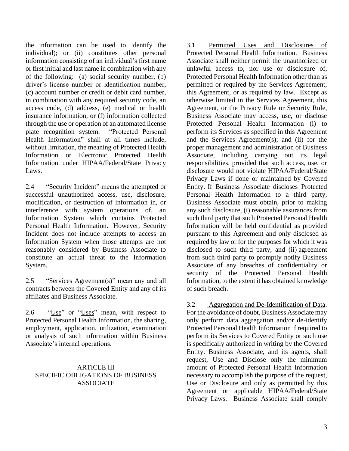the information can be used to identify the individual); or (ii) constitutes other personal information consisting of an individual's first name or first initial and last name in combination with any of the following: (a) social security number, (b) driver's license number or identification number, (c) account number or credit or debit card number, in combination with any required security code, an access code, (d) address, (e) medical or health insurance information, or (f) information collected through the use or operation of an automated license plate recognition system. "Protected Personal Health Information" shall at all times include, without limitation, the meaning of Protected Health Information or Electronic Protected Health Information under HIPAA/Federal/State Privacy Laws.

2.4 "Security Incident" means the attempted or successful unauthorized access, use, disclosure, modification, or destruction of information in, or interference with system operations of, an Information System which contains Protected Personal Health Information. However, Security Incident does not include attempts to access an Information System when those attempts are not reasonably considered by Business Associate to constitute an actual threat to the Information System.

2.5 "Services Agreement(s)" mean any and all contracts between the Covered Entity and any of its affiliates and Business Associate.

2.6 "Use" or "Uses" mean, with respect to Protected Personal Health Information, the sharing, employment, application, utilization, examination or analysis of such information within Business Associate's internal operations.

### ARTICLE III SPECIFIC OBLIGATIONS OF BUSINESS ASSOCIATE

3.1 Permitted Uses and Disclosures of Protected Personal Health Information. Business Associate shall neither permit the unauthorized or unlawful access to, nor use or disclosure of, Protected Personal Health Information other than as permitted or required by the Services Agreement, this Agreement, or as required by law. Except as otherwise limited in the Services Agreement, this Agreement, or the Privacy Rule or Security Rule, Business Associate may access, use, or disclose Protected Personal Health Information (i) to perform its Services as specified in this Agreement and the Services Agreement(s); and (ii) for the proper management and administration of Business Associate, including carrying out its legal responsibilities, provided that such access, use, or disclosure would not violate HIPAA/Federal/State Privacy Laws if done or maintained by Covered Entity. If Business Associate discloses Protected Personal Health Information to a third party, Business Associate must obtain, prior to making any such disclosure, (i) reasonable assurances from such third party that such Protected Personal Health Information will be held confidential as provided pursuant to this Agreement and only disclosed as required by law or for the purposes for which it was disclosed to such third party, and (ii) agreement from such third party to promptly notify Business Associate of any breaches of confidentiality or security of the Protected Personal Health Information, to the extent it has obtained knowledge of such breach.

3.2 Aggregation and De-Identification of Data. For the avoidance of doubt, Business Associate may only perform data aggregation and/or de-identify Protected Personal Health Information if required to perform its Services to Covered Entity or such use is specifically authorized in writing by the Covered Entity. Business Associate, and its agents, shall request, Use and Disclose only the minimum amount of Protected Personal Health Information necessary to accomplish the purpose of the request, Use or Disclosure and only as permitted by this Agreement or applicable HIPAA/Federal/State Privacy Laws. Business Associate shall comply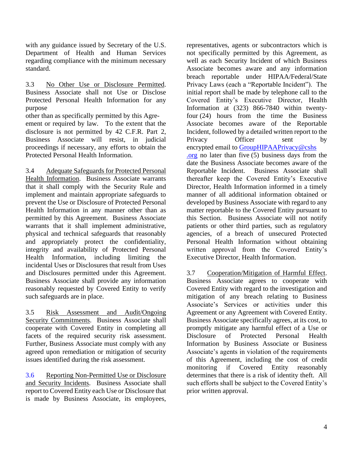with any guidance issued by Secretary of the U.S. Department of Health and Human Services regarding compliance with the minimum necessary standard.

3.3 No Other Use or Disclosure Permitted. Business Associate shall not Use or Disclose Protected Personal Health Information for any purpose

other than as specifically permitted by this Agreement or required by law. To the extent that the disclosure is not permitted by 42 C.F.R. Part 2, Business Associate will resist, in judicial proceedings if necessary, any efforts to obtain the Protected Personal Health Information.

3.4 Adequate Safeguards for Protected Personal Health Information. Business Associate warrants that it shall comply with the Security Rule and implement and maintain appropriate safeguards to prevent the Use or Disclosure of Protected Personal Health Information in any manner other than as permitted by this Agreement. Business Associate warrants that it shall implement administrative, physical and technical safeguards that reasonably and appropriately protect the confidentiality, integrity and availability of Protected Personal Health Information, including limiting the incidental Uses or Disclosures that result from Uses and Disclosures permitted under this Agreement. Business Associate shall provide any information reasonably requested by Covered Entity to verify such safeguards are in place.

3.5 Risk Assessment and Audit/Ongoing Security Commitments. Business Associate shall cooperate with Covered Entity in completing all facets of the required security risk assessment. Further, Business Associate must comply with any agreed upon remediation or mitigation of security issues identified during the risk assessment.

3.6 Reporting Non-Permitted Use or Disclosure and Security Incidents. Business Associate shall report to Covered Entity each Use or Disclosure that is made by Business Associate, its employees,

representatives, agents or subcontractors which is not specifically permitted by this Agreement, as well as each Security Incident of which Business Associate becomes aware and any information breach reportable under HIPAA/Federal/State Privacy Laws (each a "Reportable Incident"). The initial report shall be made by telephone call to the Covered Entity's Executive Director, Health Information at (323) 866-7840 within twentyfour (24) hours from the time the Business Associate becomes aware of the Reportable Incident, followed by a detailed written report to the Privacy Officer sent by encrypted email to GroupHIPAAPrivacy@cshs .org no later than five (5) business days from the date the Business Associate becomes aware of the Reportable Incident. Business Associate shall thereafter keep the Covered Entity's Executive Director, Health Information informed in a timely manner of all additional information obtained or developed by Business Associate with regard to any matter reportable to the Covered Entity pursuant to this Section. Business Associate will not notify patients or other third parties, such as regulatory agencies, of a breach of unsecured Protected Personal Health Information without obtaining written approval from the Covered Entity's Executive Director, Health Information.

3.7 Cooperation/Mitigation of Harmful Effect. Business Associate agrees to cooperate with Covered Entity with regard to the investigation and mitigation of any breach relating to Business Associate's Services or activities under this Agreement or any Agreement with Covered Entity. Business Associate specifically agrees, at its cost, to promptly mitigate any harmful effect of a Use or Disclosure of Protected Personal Health Information by Business Associate or Business Associate's agents in violation of the requirements of this Agreement, including the cost of credit monitoring if Covered Entity reasonably determines that there is a risk of identity theft. All such efforts shall be subject to the Covered Entity's prior written approval.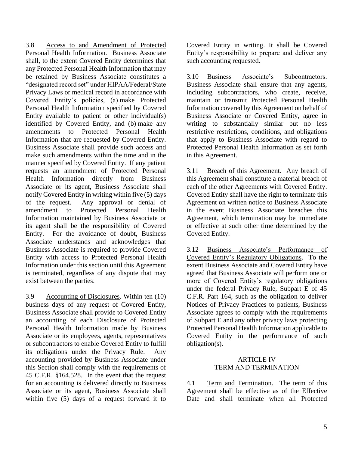3.8 Access to and Amendment of Protected Personal Health Information. Business Associate shall, to the extent Covered Entity determines that any Protected Personal Health Information that may be retained by Business Associate constitutes a "designated record set" under HIPAA/Federal/State Privacy Laws or medical record in accordance with Covered Entity's policies, (a) make Protected Personal Health Information specified by Covered Entity available to patient or other individual(s) identified by Covered Entity, and (b) make any amendments to Protected Personal Health Information that are requested by Covered Entity. Business Associate shall provide such access and make such amendments within the time and in the manner specified by Covered Entity. If any patient requests an amendment of Protected Personal Health Information directly from Business Associate or its agent, Business Associate shall notify Covered Entity in writing within five (5) days of the request. Any approval or denial of amendment to Protected Personal Health Information maintained by Business Associate or its agent shall be the responsibility of Covered Entity. For the avoidance of doubt, Business Associate understands and acknowledges that Business Associate is required to provide Covered Entity with access to Protected Personal Health Information under this section until this Agreement is terminated, regardless of any dispute that may exist between the parties.

3.9 Accounting of Disclosures. Within ten (10) business days of any request of Covered Entity, Business Associate shall provide to Covered Entity an accounting of each Disclosure of Protected Personal Health Information made by Business Associate or its employees, agents, representatives or subcontractors to enable Covered Entity to fulfill its obligations under the Privacy Rule. Any accounting provided by Business Associate under this Section shall comply with the requirements of 45 C.F.R. §164.528. In the event that the request for an accounting is delivered directly to Business Associate or its agent, Business Associate shall within five (5) days of a request forward it to

Covered Entity in writing. It shall be Covered Entity's responsibility to prepare and deliver any such accounting requested.

3.10 Business Associate's Subcontractors. Business Associate shall ensure that any agents, including subcontractors, who create, receive, maintain or transmit Protected Personal Health Information covered by this Agreement on behalf of Business Associate or Covered Entity, agree in writing to substantially similar but no less restrictive restrictions, conditions, and obligations that apply to Business Associate with regard to Protected Personal Health Information as set forth in this Agreement.

3.11 Breach of this Agreement. Any breach of this Agreement shall constitute a material breach of each of the other Agreements with Covered Entity. Covered Entity shall have the right to terminate this Agreement on written notice to Business Associate in the event Business Associate breaches this Agreement, which termination may be immediate or effective at such other time determined by the Covered Entity.

3.12 Business Associate's Performance of Covered Entity's Regulatory Obligations. To the extent Business Associate and Covered Entity have agreed that Business Associate will perform one or more of Covered Entity's regulatory obligations under the federal Privacy Rule, Subpart E of 45 C.F.R. Part 164, such as the obligation to deliver Notices of Privacy Practices to patients, Business Associate agrees to comply with the requirements of Subpart E and any other privacy laws protecting Protected Personal Health Information applicable to Covered Entity in the performance of such obligation(s).

#### ARTICLE IV TERM AND TERMINATION

4.1 Term and Termination. The term of this Agreement shall be effective as of the Effective Date and shall terminate when all Protected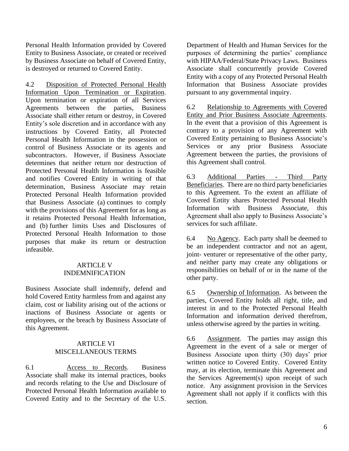Personal Health Information provided by Covered Entity to Business Associate, or created or received by Business Associate on behalf of Covered Entity, is destroyed or returned to Covered Entity.

4.2 Disposition of Protected Personal Health Information Upon Termination or Expiration. Upon termination or expiration of all Services Agreements between the parties, Business Associate shall either return or destroy, in Covered Entity's sole discretion and in accordance with any instructions by Covered Entity, all Protected Personal Health Information in the possession or control of Business Associate or its agents and subcontractors. However, if Business Associate determines that neither return nor destruction of Protected Personal Health Information is feasible and notifies Covered Entity in writing of that determination, Business Associate may retain Protected Personal Health Information provided that Business Associate (a) continues to comply with the provisions of this Agreement for as long as it retains Protected Personal Health Information, and (b) further limits Uses and Disclosures of Protected Personal Health Information to those purposes that make its return or destruction infeasible.

### ARTICLE V INDEMNIFICATION

Business Associate shall indemnify, defend and hold Covered Entity harmless from and against any claim, cost or liability arising out of the actions or inactions of Business Associate or agents or employees, or the breach by Business Associate of this Agreement.

## ARTICLE VI MISCELLANEOUS TERMS

6.1 Access to Records. Business Associate shall make its internal practices, books and records relating to the Use and Disclosure of Protected Personal Health Information available to Covered Entity and to the Secretary of the U.S.

Department of Health and Human Services for the purposes of determining the parties' compliance with HIPAA/Federal/State Privacy Laws. Business Associate shall concurrently provide Covered Entity with a copy of any Protected Personal Health Information that Business Associate provides pursuant to any governmental inquiry.

6.2 Relationship to Agreements with Covered Entity and Prior Business Associate Agreements. In the event that a provision of this Agreement is contrary to a provision of any Agreement with Covered Entity pertaining to Business Associate's Services or any prior Business Associate Agreement between the parties, the provisions of this Agreement shall control.

6.3 Additional Parties - Third Party Beneficiaries. There are no third party beneficiaries to this Agreement. To the extent an affiliate of Covered Entity shares Protected Personal Health Information with Business Associate, this Agreement shall also apply to Business Associate's services for such affiliate.

6.4 No Agency. Each party shall be deemed to be an independent contractor and not an agent, joint- venturer or representative of the other party, and neither party may create any obligations or responsibilities on behalf of or in the name of the other party.

6.5 Ownership of Information. As between the parties, Covered Entity holds all right, title, and interest in and to the Protected Personal Health Information and information derived therefrom, unless otherwise agreed by the parties in writing.

6.6 Assignment.The parties may assign this Agreement in the event of a sale or merger of Business Associate upon thirty (30) days' prior written notice to Covered Entity. Covered Entity may, at its election, terminate this Agreement and the Services Agreement(s) upon receipt of such notice. Any assignment provision in the Services Agreement shall not apply if it conflicts with this section.